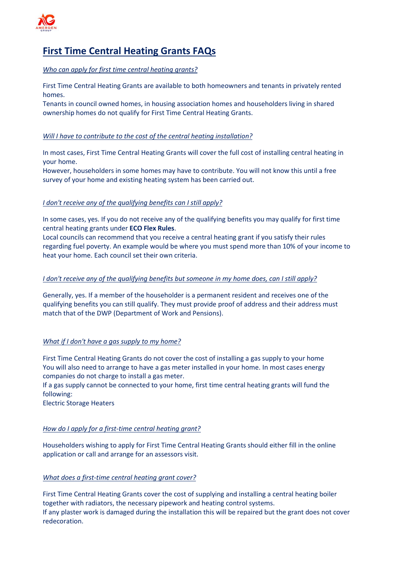

# **First Time Central Heating Grants FAQs**

*Who can apply for first time central heating grants?*

First Time Central Heating Grants are available to both homeowners and tenants in privately rented homes.

Tenants in council owned homes, in housing association homes and householders living in shared ownership homes do not qualify for First Time Central Heating Grants.

# *Will I have to contribute to the cost of the central heating installation?*

In most cases, First Time Central Heating Grants will cover the full cost of installing central heating in your home.

However, householders in some homes may have to contribute. You will not know this until a free survey of your home and existing heating system has been carried out.

# *I don't receive any of the qualifying benefits can I still apply?*

In some cases, yes. If you do not receive any of the qualifying benefits you may qualify for first time central heating grants under **[ECO Flex Rules](https://www.affordablewarmthscheme.co.uk/eco-flex-grants/)**.

Local councils can recommend that you receive a central heating grant if you satisfy their rules regarding fuel poverty. An example would be where you must spend more than 10% of your income to heat your home. Each council set their own criteria.

## *I don't receive any of the qualifying benefits but someone in my home does, can I still apply?*

Generally, yes. If a member of the householder is a permanent resident and receives one of the qualifying benefits you can still qualify. They must provide proof of address and their address must match that of the DWP (Department of Work and Pensions).

## *What if I don't have a gas supply to my home?*

First Time Central Heating Grants do not cover the cost of installing a gas supply to your home You will also need to arrange to have a gas meter installed in your home. In most cases energy companies do not charge to install a gas meter.

If a gas supply cannot be connected to your home, first time central heating grants will fund the following:

Electric Storage Heaters

## *How do I apply for a first-time central heating grant?*

Householders wishing to apply for First Time Central Heating Grants should either fill in the online application or call and arrange for an assessors visit.

## *What does a first-time central heating grant cover?*

First Time Central Heating Grants cover the cost of supplying and installing a central heating boiler together with radiators, the necessary pipework and heating control systems. If any plaster work is damaged during the installation this will be repaired but the grant does not cover redecoration.